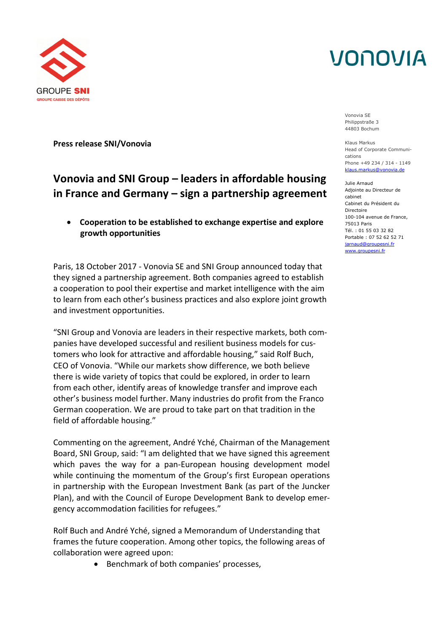# VONOVIA



**Press release SNI/Vonovia**

### **Vonovia and SNI Group – leaders in affordable housing in France and Germany – sign a partnership agreement**

 **Cooperation to be established to exchange expertise and explore growth opportunities**

Paris, 18 October 2017 - Vonovia SE and SNI Group announced today that they signed a partnership agreement. Both companies agreed to establish a cooperation to pool their expertise and market intelligence with the aim to learn from each other's business practices and also explore joint growth and investment opportunities.

"SNI Group and Vonovia are leaders in their respective markets, both companies have developed successful and resilient business models for customers who look for attractive and affordable housing," said Rolf Buch, CEO of Vonovia. "While our markets show difference, we both believe there is wide variety of topics that could be explored, in order to learn from each other, identify areas of knowledge transfer and improve each other's business model further. Many industries do profit from the Franco German cooperation. We are proud to take part on that tradition in the field of affordable housing."

Commenting on the agreement, André Yché, Chairman of the Management Board, SNI Group, said: "I am delighted that we have signed this agreement which paves the way for a pan-European housing development model while continuing the momentum of the Group's first European operations in partnership with the European Investment Bank (as part of the Juncker Plan), and with the Council of Europe Development Bank to develop emergency accommodation facilities for refugees."

Rolf Buch and André Yché, signed a Memorandum of Understanding that frames the future cooperation. Among other topics, the following areas of collaboration were agreed upon:

• Benchmark of both companies' processes,

Vonovia SE Philippstraße 3 44803 Bochum

Klaus Markus Head of Corporate Communications Phone +49 234 / 314 - 1149 klaus.markus@vonovia.de

Julie Arnaud Adjointe au Directeur de cabinet Cabinet du Président du Directoire 100-104 avenue de France, 75013 Paris Tél. : 01 55 03 32 82 Portable : 07 52 62 52 71 jarnaud@groupesni.fr www.groupesni.fr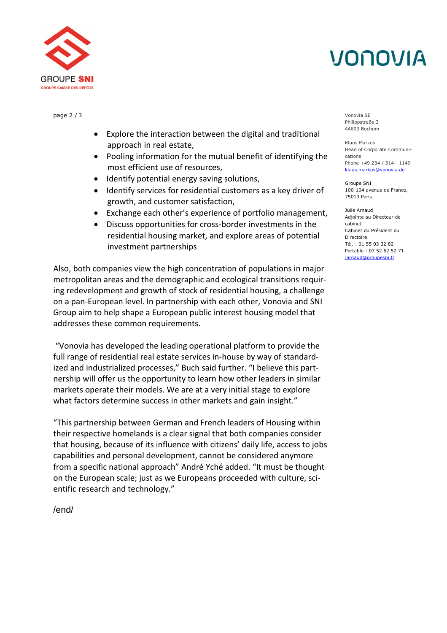# VONOVIA



- Explore the interaction between the digital and traditional approach in real estate,
- Pooling information for the mutual benefit of identifying the most efficient use of resources,
- Identify potential energy saving solutions,
- Identify services for residential customers as a key driver of growth, and customer satisfaction,
- Exchange each other's experience of portfolio management,
- Discuss opportunities for cross-border investments in the residential housing market, and explore areas of potential investment partnerships

Also, both companies view the high concentration of populations in major metropolitan areas and the demographic and ecological transitions requiring redevelopment and growth of stock of residential housing, a challenge on a pan-European level. In partnership with each other, Vonovia and SNI Group aim to help shape a European public interest housing model that addresses these common requirements.

"Vonovia has developed the leading operational platform to provide the full range of residential real estate services in-house by way of standardized and industrialized processes," Buch said further. "I believe this partnership will offer us the opportunity to learn how other leaders in similar markets operate their models. We are at a very initial stage to explore what factors determine success in other markets and gain insight."

"This partnership between German and French leaders of Housing within their respective homelands is a clear signal that both companies consider that housing, because of its influence with citizens' daily life, access to jobs capabilities and personal development, cannot be considered anymore from a specific national approach" André Yché added. "It must be thought on the European scale; just as we Europeans proceeded with culture, scientific research and technology."

page 2 / 3 Vonovia SE Philippstraße 3 44803 Bochum

> Klaus Markus Head of Corporate Communications Phone +49 234 / 314 - 1149 klaus.markus@vonovia.de

Groupe SNI 100-104 avenue de France, 75013 Paris

Julie Arnaud Adjointe au Directeur de cabinet Cabinet du Président du Directoire Tél. : 01 55 03 32 82 Portable : 07 52 62 52 71 jarnaud@groupesni.fr

/end/